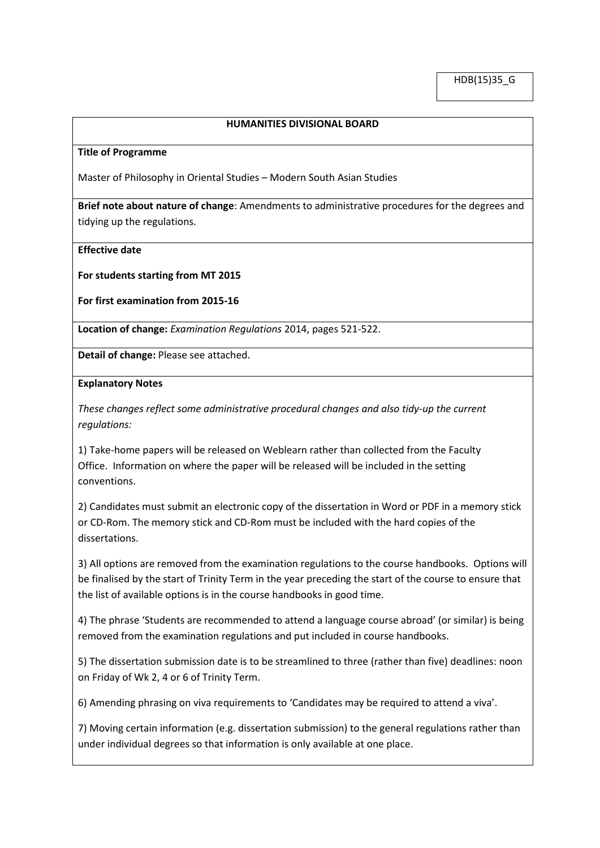## **HUMANITIES DIVISIONAL BOARD**

#### **Title of Programme**

Master of Philosophy in Oriental Studies – Modern South Asian Studies

**Brief note about nature of change**: Amendments to administrative procedures for the degrees and tidying up the regulations.

### **Effective date**

**For students starting from MT 2015**

**For first examination from 2015-16**

**Location of change:** *Examination Regulations* 2014, pages 521-522.

**Detail of change:** Please see attached.

### **Explanatory Notes**

*These changes reflect some administrative procedural changes and also tidy-up the current regulations:*

1) Take-home papers will be released on Weblearn rather than collected from the Faculty Office. Information on where the paper will be released will be included in the setting conventions.

2) Candidates must submit an electronic copy of the dissertation in Word or PDF in a memory stick or CD-Rom. The memory stick and CD-Rom must be included with the hard copies of the dissertations.

3) All options are removed from the examination regulations to the course handbooks. Options will be finalised by the start of Trinity Term in the year preceding the start of the course to ensure that the list of available options is in the course handbooks in good time.

4) The phrase 'Students are recommended to attend a language course abroad' (or similar) is being removed from the examination regulations and put included in course handbooks.

5) The dissertation submission date is to be streamlined to three (rather than five) deadlines: noon on Friday of Wk 2, 4 or 6 of Trinity Term.

6) Amending phrasing on viva requirements to 'Candidates may be required to attend a viva'.

7) Moving certain information (e.g. dissertation submission) to the general regulations rather than under individual degrees so that information is only available at one place.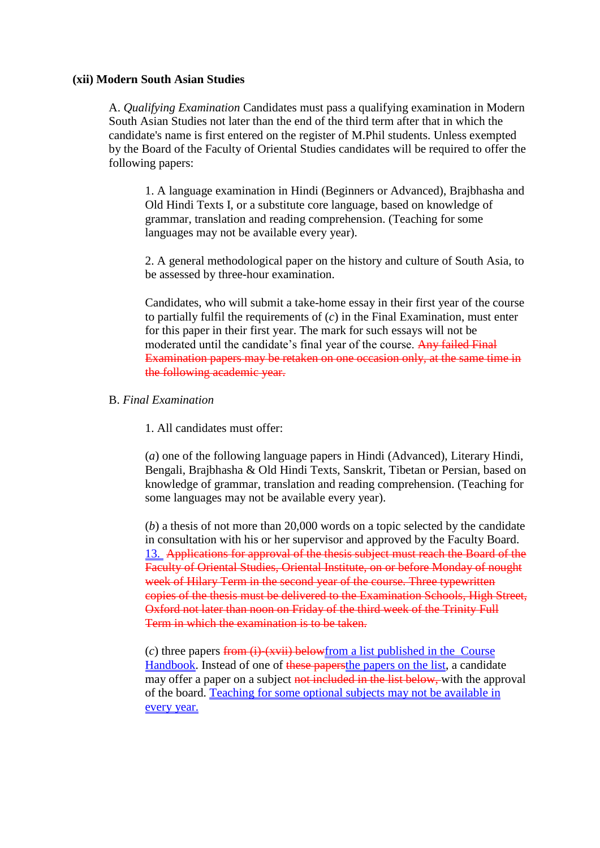# **(xii) Modern South Asian Studies**

A. *Qualifying Examination* Candidates must pass a qualifying examination in Modern South Asian Studies not later than the end of the third term after that in which the candidate's name is first entered on the register of M.Phil students. Unless exempted by the Board of the Faculty of Oriental Studies candidates will be required to offer the following papers:

1. A language examination in Hindi (Beginners or Advanced), Brajbhasha and Old Hindi Texts I, or a substitute core language, based on knowledge of grammar, translation and reading comprehension. (Teaching for some languages may not be available every year).

2. A general methodological paper on the history and culture of South Asia, to be assessed by three-hour examination.

Candidates, who will submit a take-home essay in their first year of the course to partially fulfil the requirements of (*c*) in the Final Examination, must enter for this paper in their first year. The mark for such essays will not be moderated until the candidate's final year of the course. Any failed Final Examination papers may be retaken on one occasion only, at the same time in the following academic year.

# B. *Final Examination*

1. All candidates must offer:

(*a*) one of the following language papers in Hindi (Advanced), Literary Hindi, Bengali, Brajbhasha & Old Hindi Texts, Sanskrit, Tibetan or Persian, based on knowledge of grammar, translation and reading comprehension. (Teaching for some languages may not be available every year).

(*b*) a thesis of not more than 20,000 words on a topic selected by the candidate in consultation with his or her supervisor and approved by the Faculty Board. [13.](http://www.admin.ox.ac.uk/examregs/15-36_Special_Regulations.shtml#univ-9780199202669-note-97) Applications for approval of the thesis subject must reach the Board of the Faculty of Oriental Studies, Oriental Institute, on or before Monday of nought week of Hilary Term in the second year of the course. Three typewritten copies of the thesis must be delivered to the Examination Schools, High Street, Oxford not later than noon on Friday of the third week of the Trinity Full Term in which the examination is to be taken.

 $(c)$  three papers from  $(i)$   $(xvii)$  belowfrom a list published in the Course Handbook. Instead of one of these papers the papers on the list, a candidate may offer a paper on a subject not included in the list below, with the approval of the board. Teaching for some optional subjects may not be available in every year.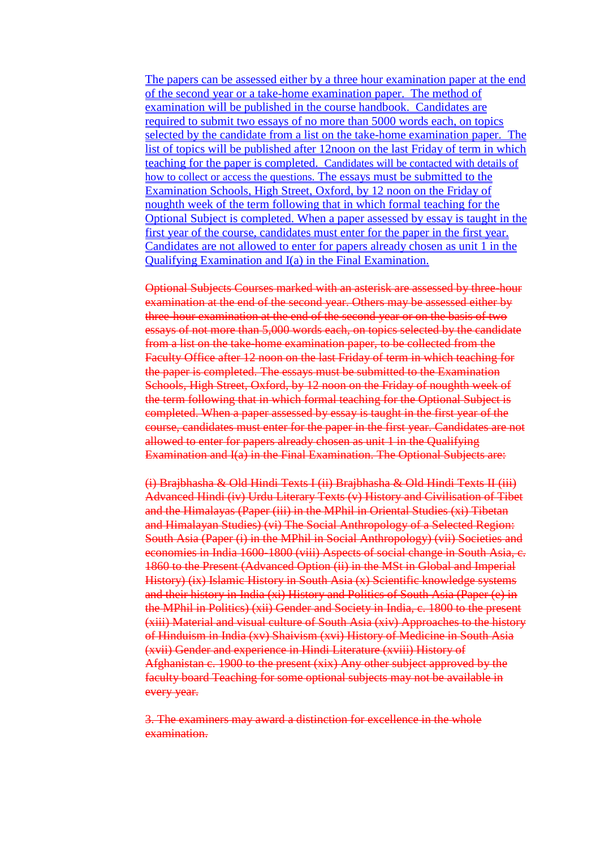The papers can be assessed either by a three hour examination paper at the end of the second year or a take-home examination paper. The method of examination will be published in the course handbook. Candidates are required to submit two essays of no more than 5000 words each, on topics selected by the candidate from a list on the take-home examination paper. The list of topics will be published after 12noon on the last Friday of term in which teaching for the paper is completed. Candidates will be contacted with details of how to collect or access the questions. The essays must be submitted to the Examination Schools, High Street, Oxford, by 12 noon on the Friday of noughth week of the term following that in which formal teaching for the Optional Subject is completed. When a paper assessed by essay is taught in the first year of the course, candidates must enter for the paper in the first year. Candidates are not allowed to enter for papers already chosen as unit 1 in the Qualifying Examination and I(a) in the Final Examination.

Optional Subjects Courses marked with an asterisk are assessed by three-hour examination at the end of the second year. Others may be assessed either by three-hour examination at the end of the second year or on the basis of two essays of not more than 5,000 words each, on topics selected by the candidate from a list on the take-home examination paper, to be collected from the Faculty Office after 12 noon on the last Friday of term in which teaching for the paper is completed. The essays must be submitted to the Examination Schools, High Street, Oxford, by 12 noon on the Friday of noughth week of the term following that in which formal teaching for the Optional Subject is completed. When a paper assessed by essay is taught in the first year of the course, candidates must enter for the paper in the first year. Candidates are not allowed to enter for papers already chosen as unit 1 in the Qualifying Examination and I(a) in the Final Examination. The Optional Subjects are:

(i) Brajbhasha & Old Hindi Texts I (ii) Brajbhasha & Old Hindi Texts II (iii) Advanced Hindi (iv) Urdu Literary Texts (v) History and Civilisation of Tibet and the Himalayas (Paper (iii) in the MPhil in Oriental Studies (xi) Tibetan and Himalayan Studies) (vi) The Social Anthropology of a Selected Region: South Asia (Paper (i) in the MPhil in Social Anthropology) (vii) Societies and economies in India 1600-1800 (viii) Aspects of social change in South Asia, e. 1860 to the Present (Advanced Option (ii) in the MSt in Global and Imperial History) (ix) Islamic History in South Asia (x) Scientific knowledge systems and their history in India (xi) History and Politics of South Asia (Paper (e) in the MPhil in Politics) (xii) Gender and Society in India, c. 1800 to the present (xiii) Material and visual culture of South Asia (xiv) Approaches to the history of Hinduism in India (xv) Shaivism (xvi) History of Medicine in South Asia (xvii) Gender and experience in Hindi Literature (xviii) History of Afghanistan c. 1900 to the present (xix) Any other subject approved by the faculty board Teaching for some optional subjects may not be available in every year.

3. The examiners may award a distinction for excellence in the whole examination.